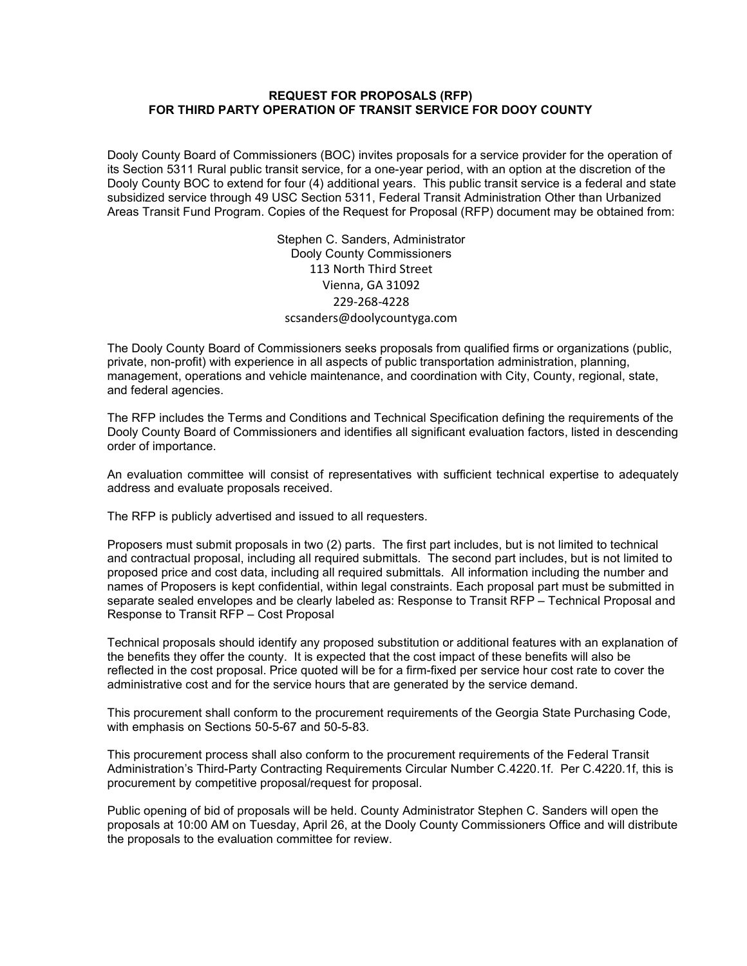#### REQUEST FOR PROPOSALS (RFP) FOR THIRD PARTY OPERATION OF TRANSIT SERVICE FOR DOOY COUNTY

Dooly County Board of Commissioners (BOC) invites proposals for a service provider for the operation of its Section 5311 Rural public transit service, for a one-year period, with an option at the discretion of the Dooly County BOC to extend for four (4) additional years. This public transit service is a federal and state subsidized service through 49 USC Section 5311, Federal Transit Administration Other than Urbanized Areas Transit Fund Program. Copies of the Request for Proposal (RFP) document may be obtained from:

> Stephen C. Sanders, Administrator Dooly County Commissioners 113 North Third Street Vienna, GA 31092 229-268-4228 scsanders@doolycountyga.com

The Dooly County Board of Commissioners seeks proposals from qualified firms or organizations (public, private, non-profit) with experience in all aspects of public transportation administration, planning, management, operations and vehicle maintenance, and coordination with City, County, regional, state, and federal agencies.

The RFP includes the Terms and Conditions and Technical Specification defining the requirements of the Dooly County Board of Commissioners and identifies all significant evaluation factors, listed in descending order of importance.

An evaluation committee will consist of representatives with sufficient technical expertise to adequately address and evaluate proposals received.

The RFP is publicly advertised and issued to all requesters.

Proposers must submit proposals in two (2) parts. The first part includes, but is not limited to technical and contractual proposal, including all required submittals. The second part includes, but is not limited to proposed price and cost data, including all required submittals. All information including the number and names of Proposers is kept confidential, within legal constraints. Each proposal part must be submitted in separate sealed envelopes and be clearly labeled as: Response to Transit RFP – Technical Proposal and Response to Transit RFP – Cost Proposal

Technical proposals should identify any proposed substitution or additional features with an explanation of the benefits they offer the county. It is expected that the cost impact of these benefits will also be reflected in the cost proposal. Price quoted will be for a firm-fixed per service hour cost rate to cover the administrative cost and for the service hours that are generated by the service demand.

This procurement shall conform to the procurement requirements of the Georgia State Purchasing Code, with emphasis on Sections 50-5-67 and 50-5-83.

This procurement process shall also conform to the procurement requirements of the Federal Transit Administration's Third-Party Contracting Requirements Circular Number C.4220.1f. Per C.4220.1f, this is procurement by competitive proposal/request for proposal.

Public opening of bid of proposals will be held. County Administrator Stephen C. Sanders will open the proposals at 10:00 AM on Tuesday, April 26, at the Dooly County Commissioners Office and will distribute the proposals to the evaluation committee for review.